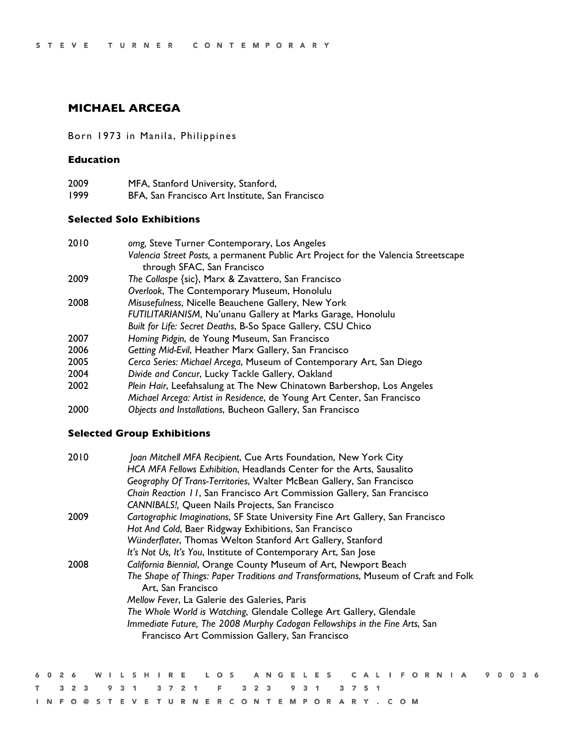# **MICHAEL ARCEGA**

# Born 1973 in Manila, Philippines

## **Education**

| 2009 | MFA, Stanford University, Stanford,             |
|------|-------------------------------------------------|
| 1999 | BFA, San Francisco Art Institute, San Francisco |

# **Selected Solo Exhibitions**

| 2010 | omg, Steve Turner Contemporary, Los Angeles                                        |
|------|------------------------------------------------------------------------------------|
|      | Valencia Street Posts, a permanent Public Art Project for the Valencia Streetscape |
|      | through SFAC, San Francisco                                                        |
| 2009 | The Collaspe {sic}, Marx & Zavattero, San Francisco                                |
|      | Overlook, The Contemporary Museum, Honolulu                                        |
| 2008 | Misusefulness, Nicelle Beauchene Gallery, New York                                 |
|      | FUTILITARIANISM, Nu'unanu Gallery at Marks Garage, Honolulu                        |
|      | Built for Life: Secret Deaths, B-So Space Gallery, CSU Chico                       |
| 2007 | Homing Pidgin, de Young Museum, San Francisco                                      |
| 2006 | Getting Mid-Evil, Heather Marx Gallery, San Francisco                              |
| 2005 | Cerca Series: Michael Arcega, Museum of Contemporary Art, San Diego                |
| 2004 | Divide and Concur, Lucky Tackle Gallery, Oakland                                   |
| 2002 | Plein Hair, Leefahsalung at The New Chinatown Barbershop, Los Angeles              |
|      | Michael Arcega: Artist in Residence, de Young Art Center, San Francisco            |
| nnnn | Oktober - alduser der som Dagbar av Oslland Can Frankrisen                         |

*Objects and Installations*, Bucheon Gallery, San Francisco

# **Selected Group Exhibitions**

| 2010 | Joan Mitchell MFA Recipient, Cue Arts Foundation, New York City                     |  |
|------|-------------------------------------------------------------------------------------|--|
|      | HCA MFA Fellows Exhibition, Headlands Center for the Arts, Sausalito                |  |
|      | Geography Of Trans-Territories, Walter McBean Gallery, San Francisco                |  |
|      | Chain Reaction 11, San Francisco Art Commission Gallery, San Francisco              |  |
|      | CANNIBALS!, Queen Nails Projects, San Francisco                                     |  |
| 2009 | Cartographic Imaginations, SF State University Fine Art Gallery, San Francisco      |  |
|      | Hot And Cold, Baer Ridgway Exhibitions, San Francisco                               |  |
|      | Wünderflater, Thomas Welton Stanford Art Gallery, Stanford                          |  |
|      | It's Not Us, It's You, Institute of Contemporary Art, San Jose                      |  |
| 2008 | California Biennial, Orange County Museum of Art, Newport Beach                     |  |
|      | The Shape of Things: Paper Traditions and Transformations, Museum of Craft and Folk |  |
|      | Art, San Francisco                                                                  |  |
|      | Mellow Fever, La Galerie des Galeries, Paris                                        |  |
|      | The Whole World is Watching, Glendale College Art Gallery, Glendale                 |  |
|      | Immediate Future, The 2008 Murphy Cadogan Fellowships in the Fine Arts, San         |  |
|      | Francisco Art Commission Gallery, San Francisco                                     |  |
|      |                                                                                     |  |

|  |  |  |  |                                             |  |  |  |  |  |  |  |  |  |  |                                  |  | 6026 WILSHIRE LOS ANGELES CALIFORNIA 90036 |  |  |  |
|--|--|--|--|---------------------------------------------|--|--|--|--|--|--|--|--|--|--|----------------------------------|--|--------------------------------------------|--|--|--|
|  |  |  |  | T 3 2 3 9 3 1 3 7 2 1 F 3 2 3 9 3 1 3 7 5 1 |  |  |  |  |  |  |  |  |  |  |                                  |  |                                            |  |  |  |
|  |  |  |  |                                             |  |  |  |  |  |  |  |  |  |  | INFO@STEVETURNERCONTEMPORARY.COM |  |                                            |  |  |  |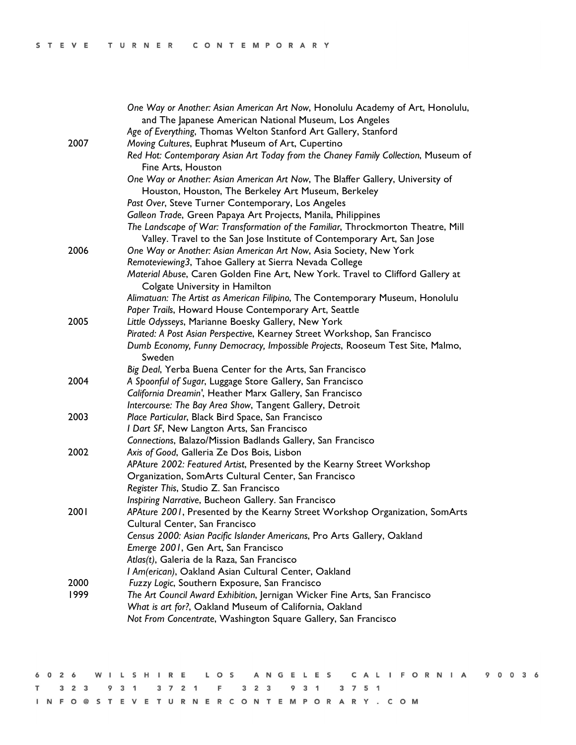|      | One Way or Another: Asian American Art Now, Honolulu Academy of Art, Honolulu,                                   |
|------|------------------------------------------------------------------------------------------------------------------|
|      | and The Japanese American National Museum, Los Angeles                                                           |
|      | Age of Everything, Thomas Welton Stanford Art Gallery, Stanford                                                  |
| 2007 | Moving Cultures, Euphrat Museum of Art, Cupertino                                                                |
|      | Red Hot: Contemporary Asian Art Today from the Chaney Family Collection, Museum of                               |
|      | Fine Arts, Houston                                                                                               |
|      | One Way or Another: Asian American Art Now, The Blaffer Gallery, University of                                   |
|      | Houston, Houston, The Berkeley Art Museum, Berkeley                                                              |
|      | Past Over, Steve Turner Contemporary, Los Angeles                                                                |
|      | Galleon Trade, Green Papaya Art Projects, Manila, Philippines                                                    |
|      | The Landscape of War: Transformation of the Familiar, Throckmorton Theatre, Mill                                 |
|      | Valley. Travel to the San Jose Institute of Contemporary Art, San Jose                                           |
| 2006 | One Way or Another: Asian American Art Now, Asia Society, New York                                               |
|      | Remoteviewing3, Tahoe Gallery at Sierra Nevada College                                                           |
|      | Material Abuse, Caren Golden Fine Art, New York. Travel to Clifford Gallery at<br>Colgate University in Hamilton |
|      | Alimatuan: The Artist as American Filipino, The Contemporary Museum, Honolulu                                    |
|      | Paper Trails, Howard House Contemporary Art, Seattle                                                             |
| 2005 | Little Odysseys, Marianne Boesky Gallery, New York                                                               |
|      | Pirated: A Post Asian Perspective, Kearney Street Workshop, San Francisco                                        |
|      | Dumb Economy, Funny Democracy, Impossible Projects, Rooseum Test Site, Malmo,                                    |
|      | Sweden                                                                                                           |
|      | Big Deal, Yerba Buena Center for the Arts, San Francisco                                                         |
| 2004 | A Spoonful of Sugar, Luggage Store Gallery, San Francisco                                                        |
|      | California Dreamin', Heather Marx Gallery, San Francisco                                                         |
|      | Intercourse: The Bay Area Show, Tangent Gallery, Detroit                                                         |
| 2003 | Place Particular, Black Bird Space, San Francisco                                                                |
|      | I Dart SF, New Langton Arts, San Francisco                                                                       |
|      | Connections, Balazo/Mission Badlands Gallery, San Francisco                                                      |
| 2002 | Axis of Good, Galleria Ze Dos Bois, Lisbon                                                                       |
|      | APAture 2002: Featured Artist, Presented by the Kearny Street Workshop                                           |
|      | Organization, SomArts Cultural Center, San Francisco                                                             |
|      | Register This, Studio Z. San Francisco                                                                           |
|      | Inspiring Narrative, Bucheon Gallery. San Francisco                                                              |
| 2001 | APAture 2001, Presented by the Kearny Street Workshop Organization, SomArts                                      |
|      | Cultural Center. San Francisco                                                                                   |
|      | Census 2000: Asian Pacific Islander Americans, Pro Arts Gallery, Oakland                                         |
|      | Emerge 2001, Gen Art, San Francisco                                                                              |
|      | Atlas(t), Galeria de la Raza, San Francisco                                                                      |
|      | I Am(erican), Oakland Asian Cultural Center, Oakland                                                             |
| 2000 | Fuzzy Logic, Southern Exposure, San Francisco                                                                    |
| 1999 | The Art Council Award Exhibition, Jernigan Wicker Fine Arts, San Francisco                                       |
|      | What is art for?, Oakland Museum of California, Oakland                                                          |
|      | Not From Concentrate, Washington Square Gallery, San Francisco                                                   |
|      |                                                                                                                  |

|  |  |  |  |                                             |  |  |  |  |  |  |  |  |  |  |                                  |  | 6026 WILSHIRE LOS ANGELES CALIFORNIA 90036 |  |  |  |
|--|--|--|--|---------------------------------------------|--|--|--|--|--|--|--|--|--|--|----------------------------------|--|--------------------------------------------|--|--|--|
|  |  |  |  | T 3 2 3 9 3 1 3 7 2 1 F 3 2 3 9 3 1 3 7 5 1 |  |  |  |  |  |  |  |  |  |  |                                  |  |                                            |  |  |  |
|  |  |  |  |                                             |  |  |  |  |  |  |  |  |  |  | INFO@STEVETURNERCONTEMPORARY.COM |  |                                            |  |  |  |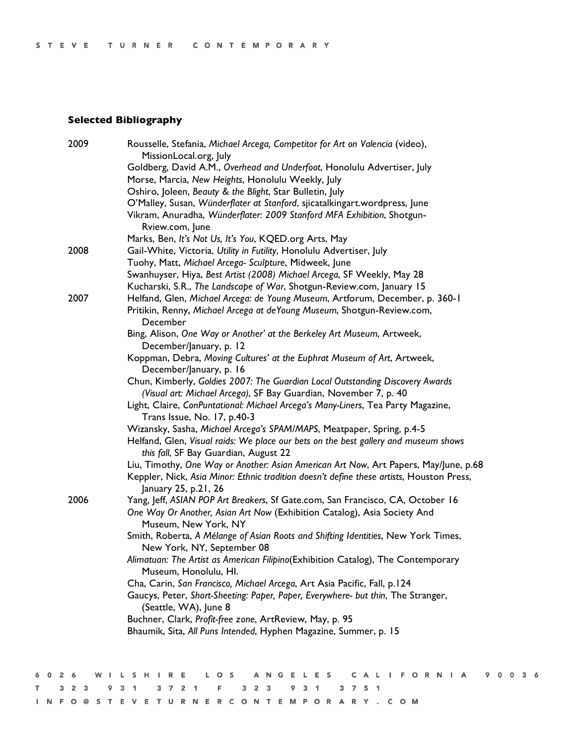# **Selected Bibliography**

|         | 2009 | Rousselle, Stefania, Michael Arcega, Competitor for Art on Valencia (video),                      |
|---------|------|---------------------------------------------------------------------------------------------------|
|         |      | MissionLocal.org, July<br>Goldberg, David A.M., Overhead and Underfoot, Honolulu Advertiser, July |
|         |      | Morse, Marcia, New Heights, Honolulu Weekly, July                                                 |
|         |      | Oshiro, Joleen, Beauty & the Blight, Star Bulletin, July                                          |
|         |      | O'Malley, Susan, Wünderflater at Stanford, sjicatalkingart.wordpress, June                        |
|         |      | Vikram, Anuradha, Wünderflater: 2009 Stanford MFA Exhibition, Shotgun-                            |
|         |      | Rview.com, June                                                                                   |
|         |      | Marks, Ben, It's Not Us, It's You, KQED.org Arts, May                                             |
|         | 2008 | Gail-White, Victoria, Utility in Futility, Honolulu Advertiser, July                              |
|         |      | Tuohy, Matt, Michael Arcega- Sculpture, Midweek, June                                             |
|         |      | Swanhuyser, Hiya, Best Artist (2008) Michael Arcega, SF Weekly, May 28                            |
|         |      | Kucharski, S.R., The Landscape of War, Shotgun-Review.com, January 15                             |
|         | 2007 | Helfand, Glen, Michael Arcega: de Young Museum, Artforum, December, p. 360-1                      |
|         |      | Pritikin, Renny, Michael Arcega at deYoung Museum, Shotgun-Review.com,                            |
|         |      | December                                                                                          |
|         |      | Bing, Alison, One Way or Another' at the Berkeley Art Museum, Artweek,                            |
|         |      | December/January, p. 12                                                                           |
|         |      | Koppman, Debra, Moving Cultures' at the Euphrat Museum of Art, Artweek,                           |
|         |      | December/January, p. 16                                                                           |
|         |      | Chun, Kimberly, Goldies 2007: The Guardian Local Outstanding Discovery Awards                     |
|         |      | (Visual art: Michael Arcega), SF Bay Guardian, November 7, p. 40                                  |
|         |      | Light, Claire, ConPuntational: Michael Arcega's Many-Liners, Tea Party Magazine,                  |
|         |      | Trans Issue, No. 17, p.40-3                                                                       |
|         |      | Wizansky, Sasha, Michael Arcega's SPAM/MAPS, Meatpaper, Spring, p.4-5                             |
|         |      | Helfand, Glen, Visual raids: We place our bets on the best gallery and museum shows               |
|         |      | this fall, SF Bay Guardian, August 22                                                             |
|         |      | Liu, Timothy, One Way or Another: Asian American Art Now, Art Papers, May/June, p.68              |
|         |      | Keppler, Nick, Asia Minor: Ethnic tradition doesn't define these artists, Houston Press,          |
|         |      | January 25, p.21, 26                                                                              |
|         | 2006 | Yang, Jeff, ASIAN POP Art Breakers, Sf Gate.com, San Francisco, CA, October 16                    |
|         |      | One Way Or Another, Asian Art Now (Exhibition Catalog), Asia Society And                          |
|         |      | Museum, New York, NY                                                                              |
|         |      | Smith, Roberta, A Mélange of Asian Roots and Shifting Identities, New York Times,                 |
|         |      | New York, NY, September 08                                                                        |
|         |      | Alimatuan: The Artist as American Filipino(Exhibition Catalog), The Contemporary                  |
|         |      | Museum, Honolulu, Hl.                                                                             |
|         |      | Cha, Carin, San Francisco, Michael Arcega, Art Asia Pacific, Fall, p.124                          |
|         |      | Gaucys, Peter, Short-Sheeting: Paper, Paper, Everywhere- but thin, The Stranger,                  |
|         |      | (Seattle, WA), June 8                                                                             |
|         |      | Buchner, Clark, Profit-free zone, ArtReview, May, p. 95                                           |
|         |      | Bhaumik, Sita, All Puns Intended, Hyphen Magazine, Summer, p. 15                                  |
|         |      |                                                                                                   |
|         |      |                                                                                                   |
|         |      |                                                                                                   |
| 6 0 2 6 |      | WILSHIRE LOS ANGELES CALIFORNIA 90036                                                             |

T 3 2 3 9 3 1 3 7 2 1 F 3 2 3 9 3 1 3 7 5 1

INFO@STEVETURNERCONTEMPORARY.COM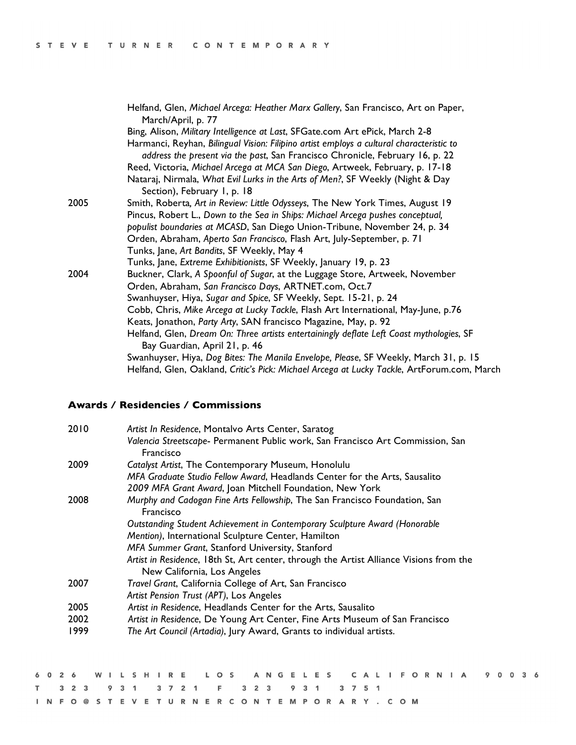|      | Helfand, Glen, Michael Arcega: Heather Marx Gallery, San Francisco, Art on Paper,<br>March/April, p. 77                                                                   |
|------|---------------------------------------------------------------------------------------------------------------------------------------------------------------------------|
|      | Bing, Alison, Military Intelligence at Last, SFGate.com Art ePick, March 2-8                                                                                              |
|      | Harmanci, Reyhan, Bilingual Vision: Filipino artist employs a cultural characteristic to<br>address the present via the past, San Francisco Chronicle, February 16, p. 22 |
|      | Reed, Victoria, Michael Arcega at MCA San Diego, Artweek, February, p. 17-18                                                                                              |
|      | Nataraj, Nirmala, What Evil Lurks in the Arts of Men?, SF Weekly (Night & Day<br>Section), February I, p. 18                                                              |
| 2005 | Smith, Roberta, Art in Review: Little Odysseys, The New York Times, August 19                                                                                             |
|      | Pincus, Robert L., Down to the Sea in Ships: Michael Arcega pushes conceptual,                                                                                            |
|      | populist boundaries at MCASD, San Diego Union-Tribune, November 24, p. 34                                                                                                 |
|      | Orden, Abraham, Aperto San Francisco, Flash Art, July-September, p. 71                                                                                                    |
|      | Tunks, Jane, Art Bandits, SF Weekly, May 4                                                                                                                                |
|      | Tunks, Jane, Extreme Exhibitionists, SF Weekly, January 19, p. 23                                                                                                         |
| 2004 | Buckner, Clark, A Spoonful of Sugar, at the Luggage Store, Artweek, November                                                                                              |
|      | Orden, Abraham, San Francisco Days, ARTNET.com, Oct.7                                                                                                                     |
|      | Swanhuyser, Hiya, Sugar and Spice, SF Weekly, Sept. 15-21, p. 24                                                                                                          |
|      | Cobb, Chris, Mike Arcega at Lucky Tackle, Flash Art International, May-June, p.76                                                                                         |
|      | Keats, Jonathon, Party Arty, SAN francisco Magazine, May, p. 92                                                                                                           |
|      | Helfand, Glen, Dream On: Three artists entertainingly deflate Left Coast mythologies, SF<br>Bay Guardian, April 21, p. 46                                                 |
|      | Swanhuyser, Hiya, Dog Bites: The Manila Envelope, Please, SF Weekly, March 31, p. 15                                                                                      |
|      | Helfand, Glen, Oakland, Critic's Pick: Michael Arcega at Lucky Tackle, ArtForum.com, March                                                                                |

## **Awards / Residencies / Commissions**

| 2010 | Artist In Residence, Montalvo Arts Center, Saratog                                          |
|------|---------------------------------------------------------------------------------------------|
|      | Valencia Streetscape- Permanent Public work, San Francisco Art Commission, San<br>Francisco |
| 2009 | Catalyst Artist, The Contemporary Museum, Honolulu                                          |
|      | MFA Graduate Studio Fellow Award, Headlands Center for the Arts, Sausalito                  |
|      | 2009 MFA Grant Award, Joan Mitchell Foundation, New York                                    |
| 2008 | Murphy and Cadogan Fine Arts Fellowship, The San Francisco Foundation, San<br>Francisco     |
|      | Outstanding Student Achievement in Contemporary Sculpture Award (Honorable                  |
|      | Mention), International Sculpture Center, Hamilton                                          |
|      | MFA Summer Grant, Stanford University, Stanford                                             |
|      | Artist in Residence, 18th St, Art center, through the Artist Alliance Visions from the      |
|      | New California, Los Angeles                                                                 |
| 2007 | Travel Grant, California College of Art, San Francisco                                      |
|      | Artist Pension Trust (APT), Los Angeles                                                     |
| 2005 | Artist in Residence, Headlands Center for the Arts, Sausalito                               |
| 2002 | Artist in Residence, De Young Art Center, Fine Arts Museum of San Francisco                 |
| 1999 | The Art Council (Artadia), Jury Award, Grants to individual artists.                        |

|  |  |  |  |                                             |  |  |  |  |  |  |  |  |  |  |  |  | 6026 WILSHIRE LOS ANGELES CALIFORNIA 90036 |  |  |  |
|--|--|--|--|---------------------------------------------|--|--|--|--|--|--|--|--|--|--|--|--|--------------------------------------------|--|--|--|
|  |  |  |  | T 3 2 3 9 3 1 3 7 2 1 F 3 2 3 9 3 1 3 7 5 1 |  |  |  |  |  |  |  |  |  |  |  |  |                                            |  |  |  |
|  |  |  |  | INFO@STEVETURNERCONTEMPORARY.COM            |  |  |  |  |  |  |  |  |  |  |  |  |                                            |  |  |  |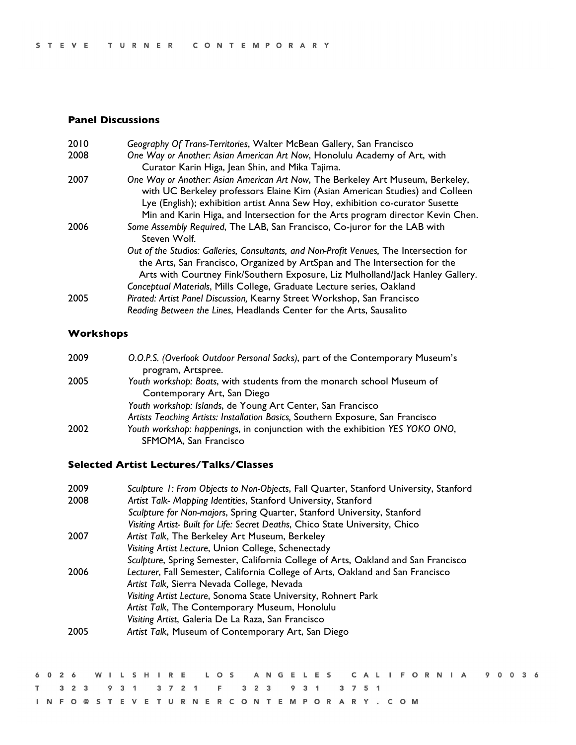## **Panel Discussions**

| 2010 | Geography Of Trans-Territories, Walter McBean Gallery, San Francisco                                                                                                                                                                                                                                                             |
|------|----------------------------------------------------------------------------------------------------------------------------------------------------------------------------------------------------------------------------------------------------------------------------------------------------------------------------------|
| 2008 | One Way or Another: Asian American Art Now, Honolulu Academy of Art, with<br>Curator Karin Higa, Jean Shin, and Mika Tajima.                                                                                                                                                                                                     |
| 2007 | One Way or Another: Asian American Art Now, The Berkeley Art Museum, Berkeley,<br>with UC Berkeley professors Elaine Kim (Asian American Studies) and Colleen<br>Lye (English); exhibition artist Anna Sew Hoy, exhibition co-curator Susette<br>Min and Karin Higa, and Intersection for the Arts program director Kevin Chen.  |
| 2006 | Some Assembly Required, The LAB, San Francisco, Co-juror for the LAB with<br>Steven Wolf.                                                                                                                                                                                                                                        |
|      | Out of the Studios: Galleries, Consultants, and Non-Profit Venues, The Intersection for<br>the Arts, San Francisco, Organized by ArtSpan and The Intersection for the<br>Arts with Courtney Fink/Southern Exposure, Liz Mulholland/Jack Hanley Gallery.<br>Conceptual Materials, Mills College, Graduate Lecture series, Oakland |
| 2005 | Pirated: Artist Panel Discussion, Kearny Street Workshop, San Francisco<br>Reading Between the Lines, Headlands Center for the Arts, Sausalito                                                                                                                                                                                   |

# **Workshops**

| 2009 | O.O.P.S. (Overlook Outdoor Personal Sacks), part of the Contemporary Museum's   |
|------|---------------------------------------------------------------------------------|
|      | program, Artspree.                                                              |
| 2005 | Youth workshop: Boats, with students from the monarch school Museum of          |
|      | Contemporary Art, San Diego                                                     |
|      | Youth workshop: Islands, de Young Art Center, San Francisco                     |
|      | Artists Teaching Artists: Installation Basics, Southern Exposure, San Francisco |
| 2002 | Youth workshop: happenings, in conjunction with the exhibition YES YOKO ONO,    |
|      | SFMOMA, San Francisco                                                           |

### **Selected Artist Lectures/Talks/Classes**

| 2009 | Sculpture 1: From Objects to Non-Objects, Fall Quarter, Stanford University, Stanford |  |
|------|---------------------------------------------------------------------------------------|--|
| 2008 | Artist Talk- Mapping Identities, Stanford University, Stanford                        |  |
|      | Sculpture for Non-majors, Spring Quarter, Stanford University, Stanford               |  |
|      | Visiting Artist- Built for Life: Secret Deaths, Chico State University, Chico         |  |
| 2007 | Artist Talk, The Berkeley Art Museum, Berkeley                                        |  |
|      | Visiting Artist Lecture, Union College, Schenectady                                   |  |
|      | Sculpture, Spring Semester, California College of Arts, Oakland and San Francisco     |  |
| 2006 | Lecturer, Fall Semester, California College of Arts, Oakland and San Francisco        |  |
|      | Artist Talk, Sierra Nevada College, Nevada                                            |  |
|      | Visiting Artist Lecture, Sonoma State University, Rohnert Park                        |  |
|      | Artist Talk, The Contemporary Museum, Honolulu                                        |  |
|      | Visiting Artist, Galeria De La Raza, San Francisco                                    |  |
| 2005 | Artist Talk, Museum of Contemporary Art, San Diego                                    |  |
|      |                                                                                       |  |

|  |  |  |  |  |  |                                             |  |  |  |  |  |  |  |  |  |  | 6026 WILSHIRE LOS ANGELES CALIFORNIA 90036 |  |  |  |
|--|--|--|--|--|--|---------------------------------------------|--|--|--|--|--|--|--|--|--|--|--------------------------------------------|--|--|--|
|  |  |  |  |  |  | T 3 2 3 9 3 1 3 7 2 1 F 3 2 3 9 3 1 3 7 5 1 |  |  |  |  |  |  |  |  |  |  |                                            |  |  |  |
|  |  |  |  |  |  | INFO@STEVETURNERCONTEMPORARY.COM            |  |  |  |  |  |  |  |  |  |  |                                            |  |  |  |